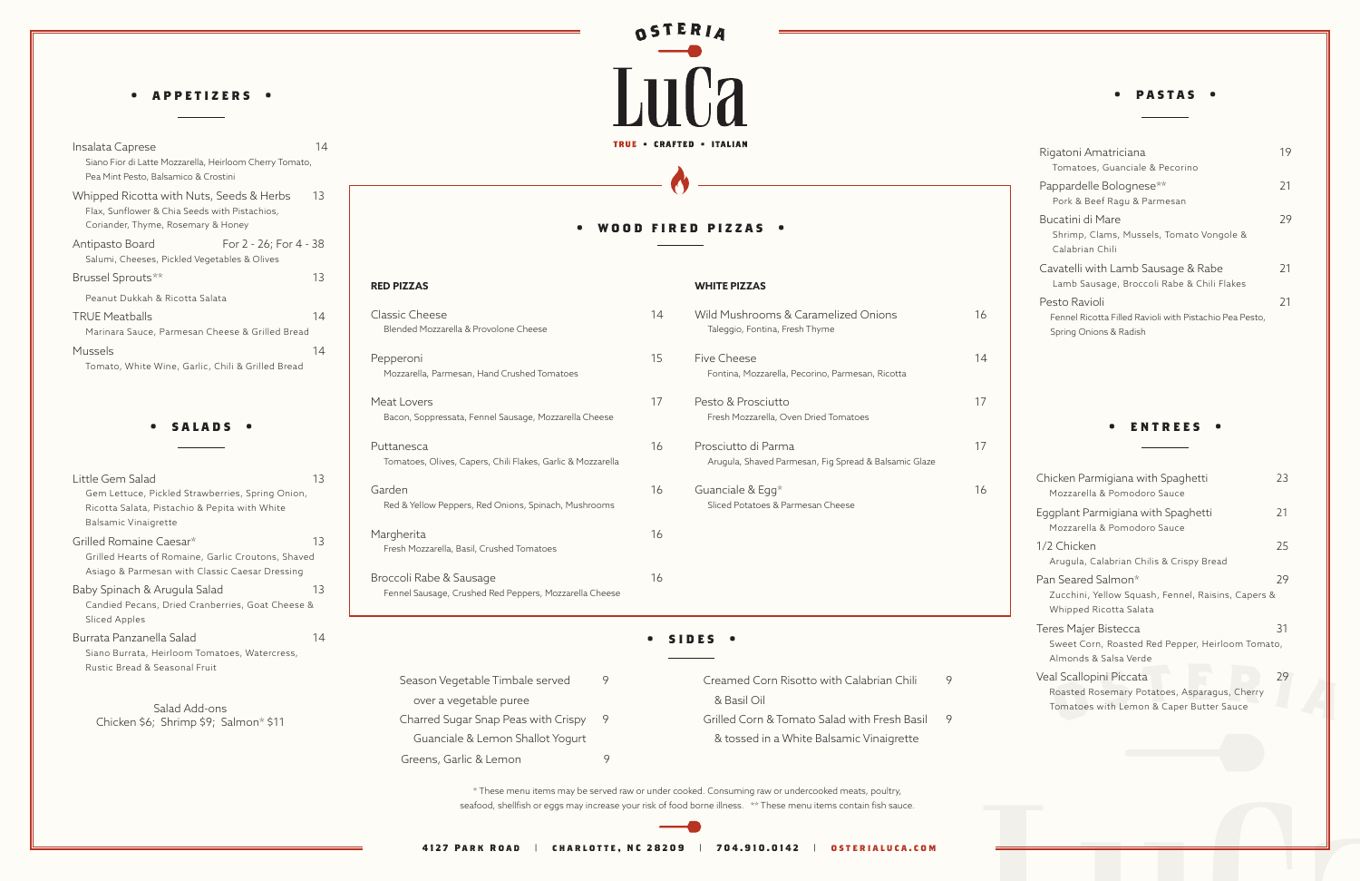#### **WHITE PIZZAS**

#### **• wood fired pizzas •**

**RED PIZZAS**

| Insalata Caprese                                                                                                                | 14 |
|---------------------------------------------------------------------------------------------------------------------------------|----|
| Siano Fior di Latte Mozzarella, Heirloom Cherry Tomato,<br>Pea Mint Pesto, Balsamico & Crostini                                 |    |
| Whipped Ricotta with Nuts, Seeds & Herbs<br>Flax, Sunflower & Chia Seeds with Pistachios,<br>Coriander, Thyme, Rosemary & Honey | 13 |
| For 2 - 26; For 4 - 38<br>Antipasto Board<br>Salumi, Cheeses, Pickled Vegetables & Olives                                       |    |
| Brussel Sprouts**                                                                                                               | 13 |
| Peanut Dukkah & Ricotta Salata                                                                                                  |    |
| <b>TRUE Meatballs</b><br>Marinara Sauce, Parmesan Cheese & Grilled Bread                                                        | 14 |
| Mussels<br>Tomato, White Wine, Garlic, Chili & Grilled Bread                                                                    | 14 |

| 14<br>e, Parmesan Cheese & Grilled Bread                                                         | <b>Classic Cheese</b><br>Blended Mozzarella & Provolone Cheese                                               | 14 | Wild Mushrooms & Caramelized Onions<br>Taleggio, Fontina, Fresh Thyme                                    | 16     | Fennel Ricotta Filled Ravioli with Pistachio<br>Spring Onions & Radish                                 |
|--------------------------------------------------------------------------------------------------|--------------------------------------------------------------------------------------------------------------|----|----------------------------------------------------------------------------------------------------------|--------|--------------------------------------------------------------------------------------------------------|
| 14<br>Wine, Garlic, Chili & Grilled Bread                                                        | Pepperoni<br>Mozzarella, Parmesan, Hand Crushed Tomatoes                                                     | 15 | <b>Five Cheese</b><br>Fontina, Mozzarella, Pecorino, Parmesan, Ricotta                                   | 14     |                                                                                                        |
| SALADS .<br>$\bullet$                                                                            | Meat Lovers<br>Bacon, Soppressata, Fennel Sausage, Mozzarella Cheese                                         | 17 | Pesto & Prosciutto<br>Fresh Mozzarella, Oven Dried Tomatoes                                              | 17     | <b>ENTREES</b> .                                                                                       |
|                                                                                                  | Puttanesca<br>Tomatoes, Olives, Capers, Chili Flakes, Garlic & Mozzarella                                    | 16 | Prosciutto di Parma<br>Arugula, Shaved Parmesan, Fig Spread & Balsamic Glaze                             | 17     |                                                                                                        |
| 13<br>Pickled Strawberries, Spring Onion,<br>Pistachio & Pepita with White                       | Garden<br>Red & Yellow Peppers, Red Onions, Spinach, Mushrooms                                               | 16 | Guanciale & Egg*<br>Sliced Potatoes & Parmesan Cheese                                                    | 16     | Chicken Parmigiana with Spaghetti<br>Mozzarella & Pomodoro Sauce<br>Eggplant Parmigiana with Spaghetti |
| grette<br>e Caesar*<br>13<br>of Romaine, Garlic Croutons, Shaved                                 | Margherita<br>Fresh Mozzarella, Basil, Crushed Tomatoes                                                      | 16 |                                                                                                          |        | Mozzarella & Pomodoro Sauce<br>1/2 Chicken<br>Arugula, Calabrian Chilis & Crispy Brea                  |
| esan with Classic Caesar Dressing<br>Arugula Salad<br>13<br>is, Dried Cranberries, Goat Cheese & | Broccoli Rabe & Sausage<br>Fennel Sausage, Crushed Red Peppers, Mozzarella Cheese                            | 16 |                                                                                                          |        | Pan Seared Salmon*<br>Zucchini, Yellow Squash, Fennel, Raisi<br>Whipped Ricotta Salata                 |
| ella Salad<br>14<br>Heirloom Tomatoes, Watercress,                                               |                                                                                                              |    | SIDES .                                                                                                  |        | Teres Majer Bistecca<br>Sweet Corn, Roasted Red Pepper, Heir<br>Almonds & Salsa Verde                  |
| Seasonal Fruit<br>Salad Add-ons<br>,; Shrimp \$9; Salmon* \$11                                   | 9<br>Season Vegetable Timbale served<br>over a vegetable puree<br>Charred Sugar Snap Peas with Crispy<br>- 9 |    | Creamed Corn Risotto with Calabrian Chili<br>& Basil Oil<br>Grilled Corn & Tomato Salad with Fresh Basil | 9<br>9 | Veal Scallopini Piccata<br>Roasted Rosemary Potatoes, Asparagu<br>Tomatoes with Lemon & Caper Butter   |

| Chicken Parmigiana with Spaghetti<br>Mozzarella & Pomodoro Sauce                                                    | 23 |
|---------------------------------------------------------------------------------------------------------------------|----|
| Eggplant Parmigiana with Spaghetti<br>Mozzarella & Pomodoro Sauce                                                   | 21 |
| 1/2 Chicken<br>Arugula, Calabrian Chilis & Crispy Bread                                                             | 25 |
| Pan Seared Salmon*<br>Zucchini, Yellow Squash, Fennel, Raisins, Capers &<br>Whipped Ricotta Salata                  | 29 |
| Teres Majer Bistecca<br>Sweet Corn, Roasted Red Pepper, Heirloom Tomato,<br>Almonds & Salsa Verde                   | 31 |
| Veal Scallopini Piccata<br>Roasted Rosemary Potatoes, Asparagus, Cherry<br>Tomatoes with Lemon & Caper Butter Sauce | 29 |

#### **• appetizers •**

| Little Gem Salad                                   | 13 |
|----------------------------------------------------|----|
| Gem Lettuce, Pickled Strawberries, Spring Onion,   |    |
| Ricotta Salata, Pistachio & Pepita with White      |    |
| Balsamic Vinaigrette                               |    |
| Grilled Romaine Caesar*                            | 13 |
| Grilled Hearts of Romaine, Garlic Croutons, Shaved |    |
| Asiago & Parmesan with Classic Caesar Dressing     |    |
| Baby Spinach & Arugula Salad                       | 13 |
| Candied Pecans, Dried Cranberries, Goat Cheese &   |    |
| Sliced Apples                                      |    |
| Burrata Panzanella Salad                           | 14 |
| Siano Burrata, Heirloom Tomatoes, Watercress,      |    |
| Rustic Bread & Seasonal Fruit                      |    |

| Rigatoni Amatriciana<br>Tomatoes, Guanciale & Pecorino                            | 19 |
|-----------------------------------------------------------------------------------|----|
| Pappardelle Bolognese**<br>Pork & Beef Ragu & Parmesan                            | 21 |
| Bucatini di Mare<br>Shrimp, Clams, Mussels, Tomato Vongole &<br>Calabrian Chili   | 29 |
| Cavatelli with Lamb Sausage & Rabe<br>Lamb Sausage, Broccoli Rabe & Chili Flakes  | 21 |
| Pesto Ravioli                                                                     | 21 |
| Fennel Ricotta Filled Ravioli with Pistachio Pea Pesto,<br>Spring Onions & Radish |    |

#### **• pastas •**

\* These menu items may be served raw or under cooked. Consuming raw or undercooked meats, poultry, seafood, shellfish or eggs may increase your risk of food borne illness. \*\* These menu items contain fish sauce.

Guanciale & Lemon Shallot Yogurt

Greens, Garlic & Lemon 9

& tossed in a White Balsamic Vinaigrette

Salad Add-ons Chicken \$6; Shrimp \$9; Salmon\* \$11

# OSTERIA LuCa TRUE . CRAFTED . ITALIAN